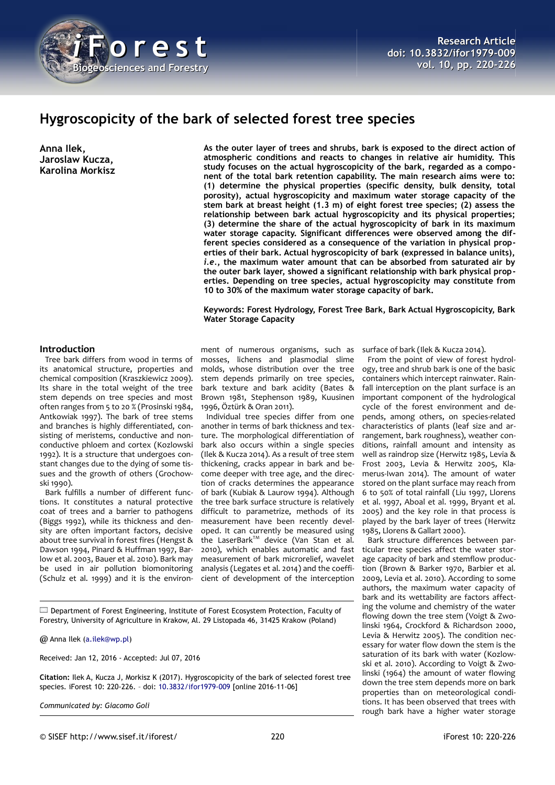

# **Hygroscopicity of the bark of selected forest tree species**

**Anna Ilek, Jaroslaw Kucza, Karolina Morkisz** **As the outer layer of trees and shrubs, bark is exposed to the direct action of atmospheric conditions and reacts to changes in relative air humidity. This study focuses on the actual hygroscopicity of the bark, regarded as a component of the total bark retention capability. The main research aims were to: (1) determine the physical properties (specific density, bulk density, total porosity), actual hygroscopicity and maximum water storage capacity of the stem bark at breast height (1.3 m) of eight forest tree species; (2) assess the relationship between bark actual hygroscopicity and its physical properties; (3) determine the share of the actual hygroscopicity of bark in its maximum water storage capacity. Significant differences were observed among the different species considered as a consequence of the variation in physical properties of their bark. Actual hygroscopicity of bark (expressed in balance units),** *i.e.***, the maximum water amount that can be absorbed from saturated air by the outer bark layer, showed a significant relationship with bark physical properties. Depending on tree species, actual hygroscopicity may constitute from 10 to 30% of the maximum water storage capacity of bark.**

**Keywords: Forest Hydrology, Forest Tree Bark, Bark Actual Hygroscopicity, Bark Water Storage Capacity**

## **Introduction**

Tree bark differs from wood in terms of its anatomical structure, properties and chemical composition (Kraszkiewicz 2009). Its share in the total weight of the tree stem depends on tree species and most often ranges from 5 to 20 % (Prosinski 1984, Antkowiak 1997). The bark of tree stems and branches is highly differentiated, consisting of meristems, conductive and nonconductive phloem and cortex (Kozlowski 1992). It is a structure that undergoes constant changes due to the dying of some tissues and the growth of others (Grochowski 1990).

Bark fulfills a number of different functions. It constitutes a natural protective coat of trees and a barrier to pathogens (Biggs 1992), while its thickness and density are often important factors, decisive about tree survival in forest fires (Hengst & Dawson 1994, Pinard & Huffman 1997, Barlow et al. 2003, Bauer et al. 2010). Bark may be used in air pollution biomonitoring (Schulz et al. 1999) and it is the environ-

ment of numerous organisms, such as mosses, lichens and plasmodial slime molds, whose distribution over the tree stem depends primarily on tree species, bark texture and bark acidity (Bates & Brown 1981, Stephenson 1989, Kuusinen 1996, Öztürk & Oran 2011).

Individual tree species differ from one another in terms of bark thickness and texture. The morphological differentiation of bark also occurs within a single species (Ilek & Kucza 2014). As a result of tree stem thickening, cracks appear in bark and become deeper with tree age, and the direction of cracks determines the appearance of bark (Kubiak & Laurow 1994). Although the tree bark surface structure is relatively difficult to parametrize, methods of its measurement have been recently developed. It can currently be measured using the LaserBark™ device (Van Stan et al. 2010), which enables automatic and fast measurement of bark microrelief, wavelet analysis (Legates et al. 2014) and the coefficient of development of the interception

surface of bark (Ilek & Kucza 2014).

From the point of view of forest hydrology, tree and shrub bark is one of the basic containers which intercept rainwater. Rainfall interception on the plant surface is an important component of the hydrological cycle of the forest environment and depends, among others, on species-related characteristics of plants (leaf size and arrangement, bark roughness), weather conditions, rainfall amount and intensity as well as raindrop size (Herwitz 1985, Levia & Frost 2003, Levia & Herwitz 2005, Klamerus-Iwan 2014). The amount of water stored on the plant surface may reach from 6 to 50% of total rainfall (Liu 1997, Llorens et al. 1997, Aboal et al. 1999, Bryant et al. 2005) and the key role in that process is played by the bark layer of trees (Herwitz 1985, Llorens & Gallart 2000).

Bark structure differences between particular tree species affect the water storage capacity of bark and stemflow production (Brown & Barker 1970, Barbier et al. 2009, Levia et al. 2010). According to some authors, the maximum water capacity of bark and its wettability are factors affecting the volume and chemistry of the water flowing down the tree stem (Voigt & Zwolinski 1964, Crockford & Richardson 2000, Levia & Herwitz 2005). The condition necessary for water flow down the stem is the saturation of its bark with water (Kozlowski et al. 2010). According to Voigt & Zwolinski (1964) the amount of water flowing down the tree stem depends more on bark properties than on meteorological conditions. It has been observed that trees with rough bark have a higher water storage

Department of Forest Engineering, Institute of Forest Ecosystem Protection, Faculty of Forestry, University of Agriculture in Krakow, Al. 29 Listopada 46, 31425 Krakow (Poland)

@ Anna Ilek [\(a.ilek@wp.pl\)](mailto:a.ilek@wp.pl)

Received: Jan 12, 2016 - Accepted: Jul 07, 2016

**Citation:** Ilek A, Kucza J, Morkisz K (2017). Hygroscopicity of the bark of selected forest tree species. iForest 10: 220-226. – doi: [10.3832/ifor1979-009](http://www.sisef.it/iforest/contents/?id=ifor1979-009) [online 2016-11-06]

*Communicated by: Giacomo Goli*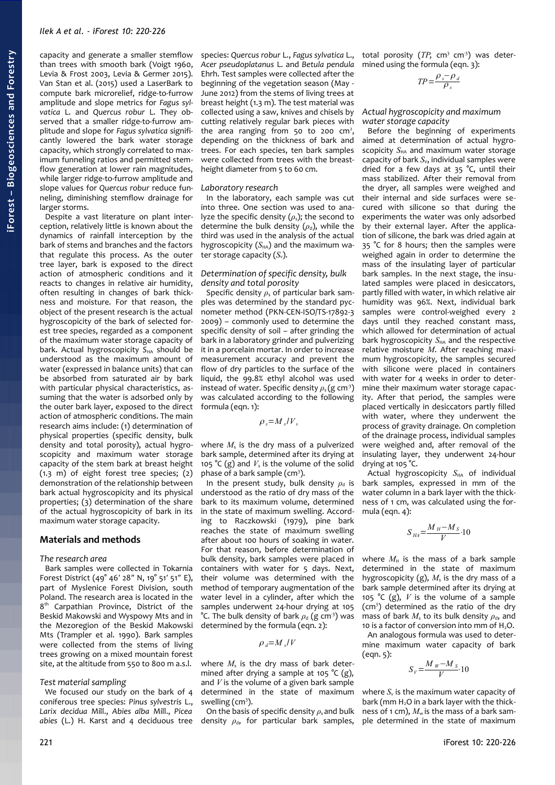capacity and generate a smaller stemflow than trees with smooth bark (Voigt 1960, Levia & Frost 2003, Levia & Germer 2015). Van Stan et al. (2015) used a LaserBark to compute bark microrelief, ridge-to-furrow amplitude and slope metrics for *Fagus sylvatica* L. and *Quercus robur* L. They observed that a smaller ridge-to-furrow amplitude and slope for *Fagus sylvatica* significantly lowered the bark water storage capacity, which strongly correlated to maximum funneling ratios and permitted stemflow generation at lower rain magnitudes, while larger ridge-to-furrow amplitude and slope values for *Quercus robur* reduce funneling, diminishing stemflow drainage for larger storms.

Despite a vast literature on plant interception, relatively little is known about the dynamics of rainfall interception by the bark of stems and branches and the factors that regulate this process. As the outer tree layer, bark is exposed to the direct action of atmospheric conditions and it reacts to changes in relative air humidity, often resulting in changes of bark thickness and moisture. For that reason, the object of the present research is the actual hygroscopicity of the bark of selected forest tree species, regarded as a component of the maximum water storage capacity of bark. Actual hygroscopicity S<sub>HA</sub> should be understood as the maximum amount of water (expressed in balance units) that can be absorbed from saturated air by bark with particular physical characteristics, assuming that the water is adsorbed only by the outer bark layer, exposed to the direct action of atmospheric conditions. The main research aims include: (1) determination of physical properties (specific density, bulk density and total porosity), actual hygroscopicity and maximum water storage capacity of the stem bark at breast height  $(1.3 \text{ m})$  of eight forest tree species;  $(2)$ demonstration of the relationship between bark actual hygroscopicity and its physical properties; (3) determination of the share of the actual hygroscopicity of bark in its maximum water storage capacity.

### **Materials and methods**

#### *The research area*

Bark samples were collected in Tokarnia Forest District (49° 46′ 28″ N, 19° 51′ 51″ E), part of Myslenice Forest Division, south Poland. The research area is located in the 8<sup>th</sup> Carpathian Province, District of the Beskid Makowski and Wyspowy Mts and in the Mezoregion of the Beskid Makowski Mts (Trampler et al. 1990). Bark samples were collected from the stems of living trees growing on a mixed mountain forest site, at the altitude from 550 to 800 m a.s.l.

#### *Test material sampling*

We focused our study on the bark of 4 coniferous tree species: *Pinus sylvestris* L., *Larix decidua* Mill., *Abies alba* Mill., *Picea abies* (L.) H. Karst and 4 deciduous tree species: *Quercus robur* L., *Fagus sylvatica* L., *Acer pseudoplatanus* L. and *Betula pendula* Ehrh. Test samples were collected after the beginning of the vegetation season (May - June 2012) from the stems of living trees at breast height (1.3 m). The test material was collected using a saw, knives and chisels by cutting relatively regular bark pieces with the area ranging from  $50$  to  $200$   $cm<sup>2</sup>$ , depending on the thickness of bark and trees. For each species, ten bark samples were collected from trees with the breastheight diameter from 5 to 60 cm.

## *Laboratory research*

In the laboratory, each sample was cut into three. One section was used to analyze the specific density  $(\rho_s)$ ; the second to determine the bulk density  $(\rho_d)$ , while the third was used in the analysis of the actual hygroscopicity  $(S<sub>HA</sub>)$  and the maximum water storage capacity (*S*v).

#### *Determination of specific density, bulk density and total porosity*

Specific density *ρ*s of particular bark samples was determined by the standard pycnometer method (PKN-CEN-ISO/TS-17892-3 2009) – commonly used to determine the specific density of soil – after grinding the bark in a laboratory grinder and pulverizing it in a porcelain mortar. In order to increase measurement accuracy and prevent the flow of dry particles to the surface of the liquid, the 99.8% ethyl alcohol was used instead of water. Specific density  $\rho_s$  (g cm<sup>3</sup>) was calculated according to the following formula (eqn. 1):

 $\rho_s = M_s/V_s$ 

where  $M<sub>s</sub>$  is the dry mass of a pulverized bark sample, determined after its drying at 105 °C (g) and  $V_s$  is the volume of the solid phase of a bark sample (cm<sup>3</sup>).

In the present study, bulk density  $\rho_d$  is understood as the ratio of dry mass of the bark to its maximum volume, determined in the state of maximum swelling. According to Raczkowski (1979), pine bark reaches the state of maximum swelling after about 100 hours of soaking in water. For that reason, before determination of bulk density, bark samples were placed in containers with water for 5 days. Next, their volume was determined with the method of temporary augmentation of the water level in a cylinder, after which the samples underwent 24-hour drying at 105 °C. The bulk density of bark  $\rho_d$  (g cm<sup>3</sup>) was determined by the formula (eqn. 2):

 $\rho_d = M_s/V$ 

where  $M<sub>s</sub>$  is the dry mass of bark determined after drying a sample at 105  $°C$  (g), and *V* is the volume of a given bark sample determined in the state of maximum swelling  $(cm<sup>3</sup>)$ .

On the basis of specific density *ρ*s and bulk density  $\rho_{d}$ , for particular bark samples, total porosity  $(TP, cm^3, cm^3)$  was determined using the formula (eqn. 3):

$$
TP = \frac{\rho_s - \rho_d}{\rho_s}
$$

## *Actual hygroscopicity and maximum water storage capacity*

Before the beginning of experiments aimed at determination of actual hygroscopicity S<sub>HA</sub> and maximum water storage capacity of bark *S<sub>V</sub>*, individual samples were dried for a few days at  $35$  °C, until their mass stabilized. After their removal from the dryer, all samples were weighed and their internal and side surfaces were secured with silicone so that during the experiments the water was only adsorbed by their external layer. After the application of silicone, the bark was dried again at 35 °C for 8 hours; then the samples were weighed again in order to determine the mass of the insulating layer of particular bark samples. In the next stage, the insulated samples were placed in desiccators, partly filled with water, in which relative air humidity was 96%. Next, individual bark samples were control-weighed every 2 days until they reached constant mass, which allowed for determination of actual bark hygroscopicity  $S_{HA}$  and the respective relative moisture *M*. After reaching maximum hygroscopicity, the samples secured with silicone were placed in containers with water for 4 weeks in order to determine their maximum water storage capacity. After that period, the samples were placed vertically in desiccators partly filled with water, where they underwent the process of gravity drainage. On completion of the drainage process, individual samples were weighed and, after removal of the insulating layer, they underwent 24-hour drying at 105 °C.

Actual hygroscopicity  $S_{HA}$  of individual bark samples, expressed in mm of the water column in a bark layer with the thickness of 1 cm, was calculated using the formula (eqn. 4):

$$
S_{\scriptscriptstyle H\!A} {=} \frac{M_{\scriptscriptstyle H} {-} M_{\scriptscriptstyle S}}{V} {\cdot} 10
$$

where  $M_H$  is the mass of a bark sample determined in the state of maximum hygroscopicity  $(g)$ ,  $M_s$  is the dry mass of a bark sample determined after its drying at 105 °C (g), *V* is the volume of a sample (cm<sup>3</sup>) determined as the ratio of the dry mass of bark  $M_s$  to its bulk density  $\rho_d$ , and 10 is a factor of conversion into mm of H<sub>2</sub>O.

An analogous formula was used to determine maximum water capacity of bark (eqn. 5):

$$
S_V = \frac{M_W - M_S}{V} \cdot 10
$$

where  $S_{\rm v}$  is the maximum water capacity of bark (mm H<sub>2</sub>O in a bark layer with the thickness of 1 cm),  $M_w$  is the mass of a bark sample determined in the state of maximum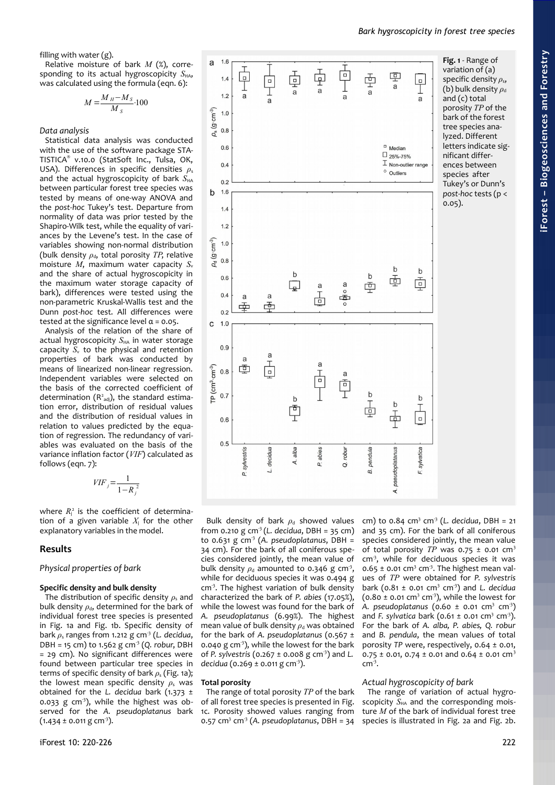filling with water (g).

Relative moisture of bark *M* (%), corresponding to its actual hygroscopicity  $S_{HA}$ , was calculated using the formula (eqn. 6):

$$
M = \frac{M_H - M_S}{M_S} \cdot 100
$$

*Data analysis*

Statistical data analysis was conducted with the use of the software package STA-TISTICA® v.10.0 (StatSoft Inc., Tulsa, OK, USA). Differences in specific densities  $ρ_s$ and the actual hygroscopicity of bark  $S_{HA}$ between particular forest tree species was tested by means of one-way ANOVA and the *post-hoc* Tukey's test. Departure from normality of data was prior tested by the Shapiro-Wilk test, while the equality of variances by the Levene's test. In the case of variables showing non-normal distribution (bulk density  $\rho_d$ , total porosity  $TP$ , relative moisture  $M$ , maximum water capacity  $S_v$ and the share of actual hygroscopicity in the maximum water storage capacity of bark), differences were tested using the non-parametric Kruskal-Wallis test and the Dunn *post-hoc* test. All differences were tested at the significance level  $\alpha$  = 0.05.

Analysis of the relation of the share of actual hygroscopicity  $S<sub>HA</sub>$  in water storage capacity  $S_v$  to the physical and retention properties of bark was conducted by means of linearized non-linear regression. Independent variables were selected on the basis of the corrected coefficient of determination  $(R^2_{adj})$ , the standard estimation error, distribution of residual values and the distribution of residual values in relation to values predicted by the equation of regression. The redundancy of variables was evaluated on the basis of the variance inflation factor (*VIF*) calculated as follows (eqn. 7):

$$
VIF_j = \frac{1}{1 - R_j^2}
$$

where  $R_j^2$  is the coefficient of determination of a given variable *X*<sup>j</sup> for the other explanatory variables in the model.

# **Results**

# *Physical properties of bark*

# **Specific density and bulk density**

The distribution of specific density *ρ*s and bulk density  $\rho_{\rm d}$ , determined for the bark of individual forest tree species is presented in [Fig. 1a](#page-2-0) and [Fig. 1b](#page-2-0). Specific density of bark *ρ*s ranges from 1.212 g cm-3 (*L. decidua*, DBH = 15 cm) to 1.562 g cm<sup>3</sup> (Q. robur, DBH = 29 cm). No significant differences were found between particular tree species in terms of specific density of bark *ρ*s [\(Fig. 1a](#page-2-0)); the lowest mean specific density  $\rho_s$  was obtained for the *L. decidua* bark (1.373 ± 0.033 g cm<sup>3</sup>), while the highest was observed for the *A. pseudoplatanus* bark  $(1.434 \pm 0.011 \text{ g cm}^3).$ 



<span id="page-2-0"></span>**Fig. 1** - Range of variation of (a) specific density *ρ*s, (b) bulk density  $ρ_d$ and (c) total porosity *TP* of the bark of the forest tree species analyzed. Different letters indicate significant differences between species after Tukey's or Dunn's *post-hoc* tests (p < 0.05).

Bulk density of bark  $\rho_d$  showed values from 0.210 g cm-3 (*L. decidua*, DBH = 35 cm) to 0.631 g cm<sup>3</sup> (A. pseudoplatanus, DBH = 34 cm). For the bark of all coniferous species considered jointly, the mean value of bulk density  $\rho_d$  amounted to 0.346 g cm<sup>3</sup>, while for deciduous species it was 0.494 g cm<sup>3</sup>. The highest variation of bulk density characterized the bark of *P. abies* (17.05%), while the lowest was found for the bark of *A. pseudoplatanus* (6.99%). The highest mean value of bulk density  $\rho_d$  was obtained for the bark of *A. pseudoplatanus* (0.567 ± 0.040 g  $cm<sup>3</sup>$ ), while the lowest for the bark of *P. sylvestris* (0.267 ± 0.008 g cm-3) and *L. decidua* (0.269 ± 0.011 g cm<sup>-3</sup>).

# **Total porosity**

The range of total porosity *TP* of the bark of all forest tree species is presented in [Fig.](#page-2-0) [1c](#page-2-0). Porosity showed values ranging from 0.57 cm<sup>3</sup> cm<sup>3</sup> (A. pseudoplatanus, DBH = 34

cm) to 0.84 cm<sup>3</sup> cm<sup>3</sup> (L. decidua, DBH = 21 and 35 cm). For the bark of all coniferous species considered jointly, the mean value of total porosity  $TP$  was  $0.75 \pm 0.01$  cm<sup>3</sup> cm-3, while for deciduous species it was  $0.65 \pm 0.01$  cm<sup>3</sup> cm<sup>3</sup>. The highest mean values of *TP* were obtained for *P. sylvestris* bark (0.81 ± 0.01 cm<sup>3</sup> cm<sup>3</sup>) and *L. decidua*  $(0.80 \pm 0.01 \text{ cm}^3 \text{ cm}^3)$ , while the lowest for A. pseudoplatanus (0.60 ± 0.01 cm<sup>3</sup> cm<sup>3</sup>) and *F. sylvatica* bark ( $0.61 \pm 0.01$  cm<sup>3</sup> cm<sup>3</sup>). For the bark of *A. alba, P. abies, Q. robur* and *B. pendula*, the mean values of total porosity *TP* were, respectively, 0.64 ± 0.01, 0.75  $\pm$  0.01, 0.74  $\pm$  0.01 and 0.64  $\pm$  0.01 cm<sup>3</sup>  $cm<sup>3</sup>$ .

# *Actual hygroscopicity of bark*

The range of variation of actual hygroscopicity  $S_{HA}$  and the corresponding moisture *M* of the bark of individual forest tree species is illustrated in [Fig. 2a](#page-3-0) and [Fig. 2b](#page-3-0).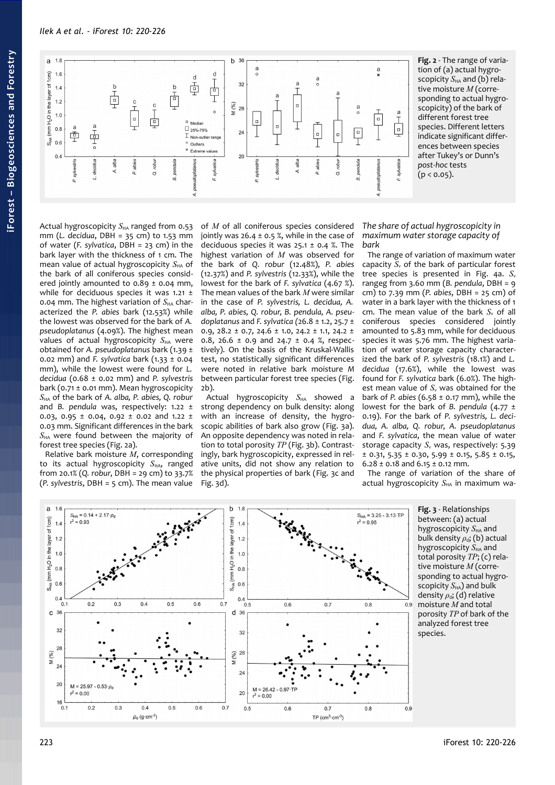

of *M* of all coniferous species considered jointly was  $26.4 \pm 0.5$  %, while in the case of deciduous species it was  $25.1 \pm 0.4$  %. The highest variation of *M* was observed for the bark of *Q. robur* (12.48%), *P. abies* (12.37%) and *P. sylvestris* (12.33%), while the lowest for the bark of *F. sylvatica* (4.67 %). The mean values of the bark *M* were similar in the case of *P. sylvestris, L. decidua, A. alba, P. abies, Q. robur, B. pendula, A. pseudoplatanus* and *F. sylvatica (*26.8 ± 1.2, 25.7 ± 0.9, 28.2 ± 0.7, 24.6 ± 1.0, 24.2 ± 1.1, 24.2 ± 0.8, 26.6  $\pm$  0.9 and 24.7  $\pm$  0.4 %, respectively). On the basis of the Kruskal-Wallis test, no statistically significant differences were noted in relative bark moisture *M* between particular forest tree species [\(Fig.](#page-3-0)

Actual hygroscopicity  $S_{HA}$  showed strong dependency on bulk density: along with an increase of density, the hygroscopic abilities of bark also grow [\(Fig. 3a](#page-3-1)). An opposite dependency was noted in relation to total porosity *TP* [\(Fig. 3b](#page-3-1)). Contrastingly, bark hygroscopicity, expressed in relative units, did not show any relation to the physical properties of bark [\(Fig. 3c](#page-3-1) and

TP  $(cm<sup>3</sup>·cm<sup>-3</sup>)$ 

<span id="page-3-0"></span>**Fig. 2** - The range of variation of (a) actual hygroscopicity  $S_{HA}$  and (b) relative moisture *M* (corresponding to actual hygroscopicity) of the bark of different forest tree species. Different letters indicate significant differences between species after Tukey's or Dunn's *post-hoc* tests  $(p < 0.05)$ .

*The share of actual hygroscopicity in maximum water storage capacity of bark*

The range of variation of maximum water capacity  $S_{\nu}$  of the bark of particular forest tree species is presented in [Fig. 4a](#page-4-0). S<sub>v</sub> rangeg from 3.60 mm (*B. pendula*, DBH = 9 cm) to 7.39 mm (*P. abies*, DBH = 25 cm) of water in a bark layer with the thickness of 1 cm. The mean value of the bark *S<sub>v</sub>* of all coniferous species considered jointly amounted to 5.83 mm, while for deciduous species it was 5.76 mm. The highest variation of water storage capacity characterized the bark of *P. sylvestris* (18.1%) and *L. decidua* (17.6%), while the lowest was found for *F. sylvatica* bark (6.0%). The highest mean value of  $S<sub>v</sub>$  was obtained for the bark of *P. abies* (6.58 ± 0.17 mm), while the lowest for the bark of *B. pendula* (4.77 ± 0.19). For the bark of *P. sylvestris, L. decidua, A. alba, Q. robur, A. pseudoplatanus* and *F. sylvatica*, the mean value of water storage capacity *S<sub>v</sub>* was, respectively: 5.39  $\pm$  0.31, 5.35  $\pm$  0.30, 5.99  $\pm$  0.15, 5.85  $\pm$  0.15,  $6.28 \pm 0.18$  and  $6.15 \pm 0.12$  mm.

The range of variation of the share of actual hygroscopicity S<sub>HA</sub> in maximum wa-



[2b](#page-3-0)).

[Fig. 3d](#page-3-1)).

<span id="page-3-1"></span>**Fig. 3** - Relationships between: (a) actual hygroscopicity  $S_{HA}$  and bulk density  $ρ_d$ ; (b) actual hygroscopicity  $S_{HA}$  and total porosity *TP*; (c) relative moisture *M* (corresponding to actual hygroscopicity  $S_{HA}$ ) and bulk density *ρ*<sub>d</sub>; (d) relative moisture *M* and total porosity *TP* of bark of the analyzed forest tree species.

mm (*L. decidua*, DBH = 35 cm) to 1.53 mm of water (*F. sylvatica*, DBH = 23 cm) in the bark layer with the thickness of 1 cm. The mean value of actual hygroscopicity  $S_{HA}$  of the bark of all coniferous species considered jointly amounted to  $0.89 \pm 0.04$  mm, while for deciduous species it was 1.21 ± 0.04 mm. The highest variation of S<sub>HA</sub> characterized the *P. abies* bark (12.53%) while the lowest was observed for the bark of *A. pseudoplatanus* (4.09%). The highest mean values of actual hygroscopicity S<sub>HA</sub> were obtained for *A. pseudoplatanus* bark (1.39 ± 0.02 mm) and *F. sylvatica* bark (1.33 ± 0.04 mm), while the lowest were found for *L. decidua* (0.68 ± 0.02 mm) and *P. sylvestris* bark (0.71 ± 0.01 mm). Mean hygroscopicity *S*HA of the bark of *A. alba, P. abies, Q. robur* and *B. pendula* was, respectively: 1.22 ± 0.03, 0.95  $\pm$  0.04, 0.92  $\pm$  0.02 and 1.22  $\pm$ 0.03 mm. Significant differences in the bark  $S<sub>HA</sub>$  were found between the majority of forest tree species [\(Fig. 2a](#page-3-0)).

Actual hygroscopicity S<sub>HA</sub> ranged from 0.53

Relative bark moisture *M*, corresponding to its actual hygroscopicity S<sub>HA</sub>, ranged from 20.1% (*Q. robur*, DBH = 29 cm) to 33.7% (*P. sylvestris*, DBH = 5 cm). The mean value

 $\rho_{\rm d}$  (g·cm<sup>-3</sup>)

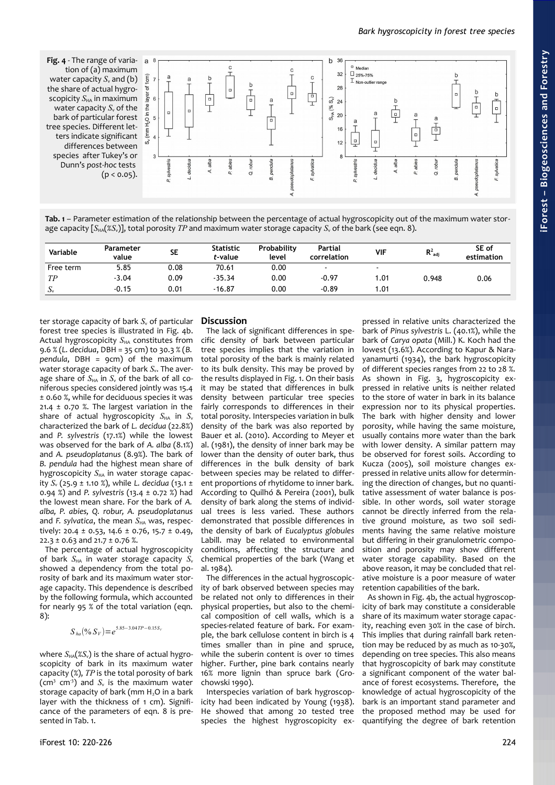<span id="page-4-0"></span>**Fig. 4** - The range of varia- a 8 tion of (a) maximum water capacity  $S_{v}$  and (b) the share of actual hygroscopicity  $S_{HA}$  in maximum water capacity  $S_{\rm v}$  of the bark of particular forest tree species. Different letters indicate significant differences between species after Tukey's or Dunn's *post-hoc* tests  $(p < 0.05)$ .



<span id="page-4-1"></span>**Tab. 1** – Parameter estimation of the relationship between the percentage of actual hygroscopicity out of the maximum water storage capacity [S<sub>HA</sub>(%S<sub>v</sub>)], total porosity *TP* and maximum water storage capacity *S<sub>v</sub>* of the bark (see eqn. 8).

| Variable  | Parameter<br>value | <b>SE</b> | <b>Statistic</b><br>t-value | Probability<br>level | Partial<br>correlation | <b>VIF</b>               | $R^2_{\text{adj}}$ | SE of<br>estimation |
|-----------|--------------------|-----------|-----------------------------|----------------------|------------------------|--------------------------|--------------------|---------------------|
| Free term | 5.85               | 0.08      | 70.61                       | 0.00                 | $\blacksquare$         | $\overline{\phantom{a}}$ |                    |                     |
| TР        | $-3.04$            | 0.09      | $-35.34$                    | 0.00                 | $-0.97$                | 1.01                     | 0.948              | 0.06                |
| ιJν       | $-0.15$            | 0.01      | $-16.87$                    | 0.00                 | $-0.89$                | .01                      |                    |                     |

ter storage capacity of bark *S<sub>v</sub>* of particular forest tree species is illustrated in [Fig. 4b](#page-4-0). Actual hygroscopicity S<sub>HA</sub> constitutes from 9.6 % (*L. decidua*, DBH = 35 cm) to 30.3 % (*B. pendula*, DBH = 9cm) of the maximum water storage capacity of bark  $S_{\rm v}$ . The average share of  $S_{HA}$  in  $S_{v}$  of the bark of all coniferous species considered jointly was 15.4 ± 0.60 %, while for deciduous species it was 21.4  $\pm$  0.70 %. The largest variation in the share of actual hygroscopicity  $S_{HA}$  in  $S_v$ characterized the bark of *L. decidua* (22.8%) and *P. sylvestris* (17.1%) while the lowest was observed for the bark of *A. alba* (8.1%) and *A. pseudoplatanus* (8.9%). The bark of *B. pendula* had the highest mean share of hygroscopicity  $S_{HA}$  in water storage capacity *S*v (25.9 ± 1.10 %), while *L. decidua* (13.1 ± 0.94 %) and *P. sylvestris* (13.4 ± 0.72 %) had the lowest mean share. For the bark of *A. alba, P. abies, Q. robur, A. pseudoplatanus* and *F. sylvatica*, the mean  $S_{HA}$  was, respectively: 20.4 ± 0.53, 14.6 ± 0.76, 15.7 ± 0.49,  $22.3 \pm 0.63$  and  $21.7 \pm 0.76$  %.

The percentage of actual hygroscopicity of bark  $S_{HA}$  in water storage capacity  $S_{v}$ showed a dependency from the total porosity of bark and its maximum water storage capacity. This dependence is described by the following formula, which accounted for nearly 95 % of the total variation (eqn. 8):

$$
S_{ha}(9/6 \, S_V) = e^{5.85 - 3.04 \, TP - 0.15 \, S_V}
$$

where  $S_{HA}(\mathscr{E}S_{v})$  is the share of actual hygroscopicity of bark in its maximum water capacity (%), *TP* is the total porosity of bark  $\left(\text{cm}^3 \text{ cm}^3\right)$  and  $S_v$  is the maximum water storage capacity of bark (mm  $H<sub>2</sub>O$  in a bark laver with the thickness of 1 cm). Significance of the parameters of eqn. 8 is pre-sented in [Tab. 1.](#page-4-1)

# **Discussion**

The lack of significant differences in specific density of bark between particular tree species implies that the variation in total porosity of the bark is mainly related to its bulk density. This may be proved by the results displayed in [Fig. 1.](#page-2-0) On their basis it may be stated that differences in bulk density between particular tree species fairly corresponds to differences in their total porosity. Interspecies variation in bulk density of the bark was also reported by Bauer et al. (2010). According to Meyer et al. (1981), the density of inner bark may be lower than the density of outer bark, thus differences in the bulk density of bark between species may be related to different proportions of rhytidome to inner bark. According to Quilhó & Pereira (2001), bulk density of bark along the stems of individual trees is less varied. These authors demonstrated that possible differences in the density of bark of *Eucalyptus globules* Labill. may be related to environmental conditions, affecting the structure and chemical properties of the bark (Wang et al.  $1084$ 

The differences in the actual hygroscopicity of bark observed between species may be related not only to differences in their physical properties, but also to the chemical composition of cell walls, which is a species-related feature of bark. For example, the bark cellulose content in birch is 4 times smaller than in pine and spruce, while the suberin content is over 10 times higher. Further, pine bark contains nearly 16% more lignin than spruce bark (Grochowski 1990).

Interspecies variation of bark hygroscopicity had been indicated by Young (1938). He showed that among 20 tested tree species the highest hygroscopicity ex-

pressed in relative units characterized the bark of *Pinus sylvestris* L. (40.1%), while the bark of *Carya opata* (Mill.) K. Koch had the lowest (13.6%). According to Kapur & Narayanamurti (1934), the bark hygroscopicity of different species ranges from 22 to 28 %. As shown in [Fig. 3,](#page-3-1) hygroscopicity expressed in relative units is neither related to the store of water in bark in its balance expression nor to its physical properties. The bark with higher density and lower porosity, while having the same moisture, usually contains more water than the bark with lower density. A similar pattern may be observed for forest soils. According to Kucza (2005), soil moisture changes expressed in relative units allow for determining the direction of changes, but no quantitative assessment of water balance is possible. In other words, soil water storage cannot be directly inferred from the relative ground moisture, as two soil sediments having the same relative moisture but differing in their granulometric composition and porosity may show different water storage capability. Based on the above reason, it may be concluded that relative moisture is a poor measure of water retention capabilities of the bark.

As shown in [Fig. 4b](#page-4-0), the actual hygroscopicity of bark may constitute a considerable share of its maximum water storage capacity, reaching even 30% in the case of birch. This implies that during rainfall bark retention may be reduced by as much as 10-30%, depending on tree species. This also means that hygroscopicity of bark may constitute a significant component of the water balance of forest ecosystems. Therefore, the knowledge of actual hygroscopicity of the bark is an important stand parameter and the proposed method may be used for quantifying the degree of bark retention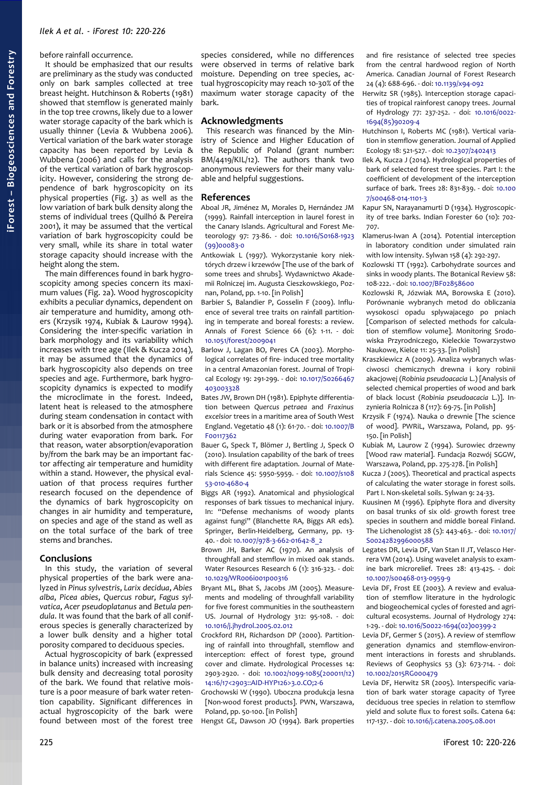before rainfall occurrence.

It should be emphasized that our results are preliminary as the study was conducted only on bark samples collected at tree breast height. Hutchinson & Roberts (1981) showed that stemflow is generated mainly in the top tree crowns, likely due to a lower water storage capacity of the bark which is usually thinner (Levia & Wubbena 2006). Vertical variation of the bark water storage capacity has been reported by Levia & Wubbena (2006) and calls for the analysis of the vertical variation of bark hygroscopicity. However, considering the strong dependence of bark hygroscopicity on its physical properties [\(Fig. 3\)](#page-3-1) as well as the low variation of bark bulk density along the stems of individual trees (Quilhó & Pereira 2001), it may be assumed that the vertical variation of bark hygroscopicity could be very small, while its share in total water storage capacity should increase with the height along the stem.

The main differences found in bark hygroscopicity among species concern its maximum values [\(Fig. 2a](#page-3-0)). Wood hygroscopicity exhibits a peculiar dynamics, dependent on air temperature and humidity, among others (Krzysik 1974, Kubiak & Laurow 1994). Considering the inter-specific variation in bark morphology and its variability which increases with tree age (Ilek & Kucza 2014), it may be assumed that the dynamics of bark hygroscopicity also depends on tree species and age. Furthermore, bark hygroscopicity dynamics is expected to modify the microclimate in the forest. Indeed, latent heat is released to the atmosphere during steam condensation in contact with bark or it is absorbed from the atmosphere during water evaporation from bark. For that reason, water absorption/evaporation by/from the bark may be an important factor affecting air temperature and humidity within a stand. However, the physical evaluation of that process requires further research focused on the dependence of the dynamics of bark hygroscopicity on changes in air humidity and temperature, on species and age of the stand as well as on the total surface of the bark of tree stems and branches.

#### **Conclusions**

In this study, the variation of several physical properties of the bark were analyzed in *Pinus sylvestris*, *Larix decidua*, *Abies alba*, *Picea abies*, *Quercus robur*, *Fagus sylvatica*, *Acer pseudoplatanus* and *Betula pendula*. It was found that the bark of all coniferous species is generally characterized by a lower bulk density and a higher total porosity compared to deciduous species.

Actual hygroscopicity of bark (expressed in balance units) increased with increasing bulk density and decreasing total porosity of the bark. We found that relative moisture is a poor measure of bark water retention capability. Significant differences in actual hygroscopicity of the bark were found between most of the forest tree

species considered, while no differences were observed in terms of relative bark moisture. Depending on tree species, actual hygroscopicity may reach 10-30% of the maximum water storage capacity of the bark.

#### **Acknowledgments**

This research was financed by the Ministry of Science and Higher Education of the Republic of Poland (grant number: BM/4419/KIL/12). The authors thank two anonymous reviewers for their many valuable and helpful suggestions.

#### **References**

- Aboal JR, Jiménez M, Morales D, Hernández JM (1999). Rainfall interception in laurel forest in the Canary Islands. Agricultural and Forest Meteorology 97: 73-86. - doi: [10.1016/S0168-1923](http://dx.doi.org/10.1016/S0168-1923(99)00083-0) [\(99\)00083-0](http://dx.doi.org/10.1016/S0168-1923(99)00083-0)
- Antkowiak L (1997). Wykorzystanie kory niektórych drzew i krzewów [The use of the bark of some trees and shrubs]. Wydawnictwo Akademii Rolniczej im. Augusta Cieszkowskiego, Poznan, Poland, pp. 1-10. [in Polish]
- Barbier S, Balandier P, Gosselin F (2009). Influence of several tree traits on rainfall partitioning in temperate and boreal forests: a review. Annals of Forest Science 66 (6): 1-11. - doi: [10.1051/forest/2009041](http://dx.doi.org/10.1051/forest/2009041)
- Barlow J, Lagan BO, Peres CA (2003). Morphological correlates of fire- induced tree mortality in a central Amazonian forest. Journal of Tropical Ecology 19: 291-299. - doi: [10.1017/S0266467](http://dx.doi.org/10.1017/S0266467403003328) [403003328](http://dx.doi.org/10.1017/S0266467403003328)
- Bates JW, Brown DH (1981). Epiphyte differentiation between *Quercus petraea* and *Fraxinus excelsior* trees in a maritime area of South West England. Vegetatio 48 (1): 61-70. - doi: [10.1007/B](http://dx.doi.org/10.1007/BF00117362) [F00117362](http://dx.doi.org/10.1007/BF00117362)
- Bauer G, Speck T, Blömer J, Bertling J, Speck O (2010). Insulation capability of the bark of trees with different fire adaptation. Journal of Materials Science 45: 5950-5959. - doi: [10.1007/s108](http://dx.doi.org/10.1007/s10853-010-4680-4) [53-010-4680-4](http://dx.doi.org/10.1007/s10853-010-4680-4)
- Biggs AR (1992). Anatomical and physiological responses of bark tissues to mechanical injury. In: "Defense mechanisms of woody plants against fungi" (Blanchette RA, Biggs AR eds). Springer, Berlin-Heidelberg, Germany, pp. 13- 40. - doi: [10.1007/978-3-662-01642-8\\_2](http://dx.doi.org/10.1007/978-3-662-01642-8_2)

Brown JH, Barker AC (1970). An analysis of throughfall and stemflow in mixed oak stands. Water Resources Research 6 (1): 316-323. - doi: [10.1029/WR006i001p00316](http://dx.doi.org/10.1029/WR006i001p00316)

- Bryant ML, Bhat S, Jacobs JM (2005). Measurements and modeling of throughfall variability for five forest communities in the southeastern US. Journal of Hydrology 312: 95-108. - doi: [10.1016/j.jhydrol.2005.02.012](http://dx.doi.org/10.1016/j.jhydrol.2005.02.012)
- Crockford RH, Richardson DP (2000). Partitioning of rainfall into throughfall, stemflow and interception: effect of forest type, ground cover and climate. Hydrological Processes 14: 2903-2920. - doi: [10.1002/1099-1085\(200011/12\)](http://dx.doi.org/10.1002/1099-1085(200011/12)14:16/17%3C2903::AID-HYP126%3E3.0.CO;2-6) [14:16/17<2903::AID-HYP126>3.0.CO;2-6](http://dx.doi.org/10.1002/1099-1085(200011/12)14:16/17%3C2903::AID-HYP126%3E3.0.CO;2-6)
- Grochowski W (1990). Uboczna produkcja lesna [Non-wood forest products]. PWN, Warszawa, Poland, pp. 50-100. [in Polish]

Hengst GE, Dawson JO (1994). Bark properties

and fire resistance of selected tree species from the central hardwood region of North America. Canadian Journal of Forest Research 24 (4): 688-696. - doi: [10.1139/x94-092](http://dx.doi.org/10.1139/x94-092)

- Herwitz SR (1985). Interception storage capacities of tropical rainforest canopy trees. Journal of Hydrology 77: 237-252. - doi: [10.1016/0022-](http://dx.doi.org/10.1016/0022-1694(85)90209-4) [1694\(85\)90209-4](http://dx.doi.org/10.1016/0022-1694(85)90209-4)
- Hutchinson I, Roberts MC (1981). Vertical variation in stemflow generation. Journal of Applied Ecology 18: 521-527. - doi: [10.2307/2402413](http://dx.doi.org/10.2307/2402413)
- Ilek A, Kucza J (2014). Hydrological properties of bark of selected forest tree species. Part I: the coefficient of development of the interception surface of bark. Trees 28: 831-839. - doi: [10.100](http://dx.doi.org/10.1007/s00468-014-1101-3) [7/s00468-014-1101-3](http://dx.doi.org/10.1007/s00468-014-1101-3)
- Kapur SN, Narayanamurti D (1934). Hygroscopicity of tree barks. Indian Forester 60 (10): 702- 707.
- Klamerus-Iwan A (2014). Potential interception in laboratory condition under simulated rain with low intensity. Sylwan 158 (4): 292-297.
- Kozlowski TT (1992). Carbohydrate sources and sinks in woody plants. The Botanical Review 58: 108-222. - doi: [10.1007/BF02858600](http://dx.doi.org/10.1007/BF02858600)
- Kozlowski R, Józwiak MA, Borowska E (2010). Porównanie wybranych metod do obliczania wysokosci opadu splywajacego po pniach [Comparison of selected methods for calculation of stemflow volume]. Monitoring Srodowiska Przyrodniczego, Kieleckie Towarzystwo Naukowe, Kielce 11: 25-33. [in Polish]
- Kraszkiewicz A (2009). Analiza wybranych wlasciwosci chemicznych drewna i kory robinii akacjowej (*Robinia pseudoacacia* L.) [Analysis of selected chemical properties of wood and bark of black locust (*Robinia pseudoacacia* L.)]. Inzynieria Rolnicza 8 (117): 69-75. [in Polish]
- Krzysik F (1974). Nauka o drewnie [The science of wood]. PWRiL, Warszawa, Poland, pp. 95- 150. [in Polish]
- Kubiak M, Laurow Z (1994). Surowiec drzewny [Wood raw material]. Fundacja Rozwój SGGW, Warszawa, Poland, pp. 275-278. [in Polish]
- Kucza J (2005). Theoretical and practical aspects of calculating the water storage in forest soils. Part I. Non-skeletal soils. Sylwan 9: 24-33.
- Kuusinen M (1996). Epiphyte flora and diversity on basal trunks of six old- growth forest tree species in southern and middle boreal Finland. The Lichenologist 28 (5): 443-463. - doi: [10.1017/](http://dx.doi.org/10.1017/S0024282996000588) [S0024282996000588](http://dx.doi.org/10.1017/S0024282996000588)
- Legates DR, Levia DF, Van Stan II JT, Velasco Herrera VM (2014). Using wavelet analysis to examine bark microrelief. Trees 28: 413-425. - doi: [10.1007/s00468-013-0959-9](http://dx.doi.org/10.1007/s00468-013-0959-9)
- Levia DF, Frost EE (2003). A review and evaluation of stemflow literature in the hydrologic and biogeochemical cycles of forested and agricultural ecosystems. Journal of Hydrology 274: 1-29. - doi: [10.1016/S0022-1694\(02\)00399-2](http://dx.doi.org/10.1016/S0022-1694(02)00399-2)
- Levia DF, Germer S (2015). A review of stemflow generation dynamics and stemflow-environment interactions in forests and shrublands. Reviews of Geophysics 53 (3): 673-714. - doi: [10.1002/2015RG000479](http://dx.doi.org/10.1002/2015RG000479)
- Levia DF, Herwitz SR (2005). Interspecific variation of bark water storage capacity of Tyree deciduous tree species in relation to stemflow yield and solute flux to forest soils. Catena 64: 117-137. - doi: [10.1016/j.catena.2005.08.001](http://dx.doi.org/10.1016/j.catena.2005.08.001)